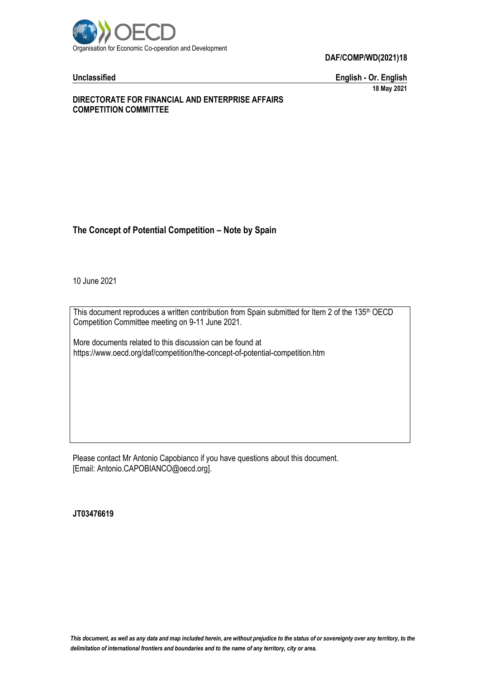

**Unclassified English - Or. English 18 May 2021**

## **DIRECTORATE FOR FINANCIAL AND ENTERPRISE AFFAIRS COMPETITION COMMITTEE**

## **The Concept of Potential Competition – Note by Spain**

10 June 2021

This document reproduces a written contribution from Spain submitted for Item 2 of the 135<sup>th</sup> OECD Competition Committee meeting on 9-11 June 2021.

More documents related to this discussion can be found at https://www.oecd.org/daf/competition/the-concept-of-potential-competition.htm

Please contact Mr Antonio Capobianco if you have questions about this document. [Email: Antonio.CAPOBIANCO@oecd.org].

**JT03476619**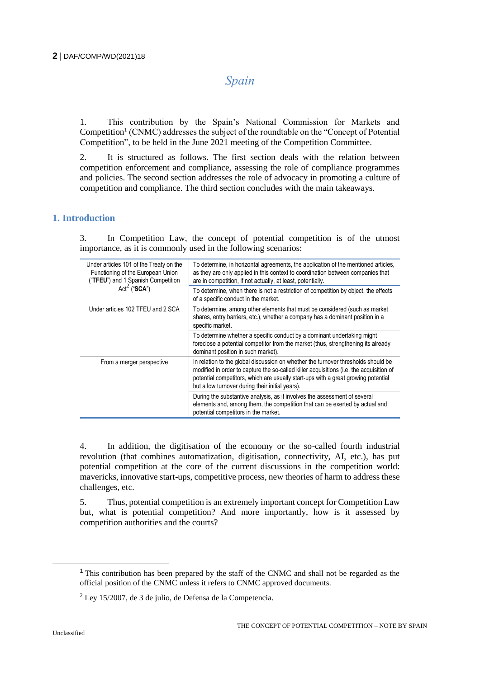# *Spain*

1. This contribution by the Spain's National Commission for Markets and Competition<sup>1</sup> (CNMC) addresses the subject of the roundtable on the "Concept of Potential Competition", to be held in the June 2021 meeting of the Competition Committee.

2. It is structured as follows. The first section deals with the relation between competition enforcement and compliance, assessing the role of compliance programmes and policies. The second section addresses the role of advocacy in promoting a culture of competition and compliance. The third section concludes with the main takeaways.

## **1. Introduction**

3. In Competition Law, the concept of potential competition is of the utmost importance, as it is commonly used in the following scenarios:

| Under articles 101 of the Treaty on the<br>Functioning of the European Union<br>("TFEU") and 1 Spanish Competition<br>Act <sup>2</sup> ("SCA") | To determine, in horizontal agreements, the application of the mentioned articles,<br>as they are only applied in this context to coordination between companies that<br>are in competition, if not actually, at least, potentially.                                                                                 |
|------------------------------------------------------------------------------------------------------------------------------------------------|----------------------------------------------------------------------------------------------------------------------------------------------------------------------------------------------------------------------------------------------------------------------------------------------------------------------|
|                                                                                                                                                | To determine, when there is not a restriction of competition by object, the effects<br>of a specific conduct in the market.                                                                                                                                                                                          |
| Under articles 102 TFEU and 2 SCA                                                                                                              | To determine, among other elements that must be considered (such as market<br>shares, entry barriers, etc.), whether a company has a dominant position in a<br>specific market.                                                                                                                                      |
|                                                                                                                                                | To determine whether a specific conduct by a dominant undertaking might<br>foreclose a potential competitor from the market (thus, strengthening its already<br>dominant position in such market).                                                                                                                   |
| From a merger perspective                                                                                                                      | In relation to the global discussion on whether the turnover thresholds should be<br>modified in order to capture the so-called killer acquisitions (i.e. the acquisition of<br>potential competitors, which are usually start-ups with a great growing potential<br>but a low turnover during their initial years). |
|                                                                                                                                                | During the substantive analysis, as it involves the assessment of several<br>elements and, among them, the competition that can be exerted by actual and<br>potential competitors in the market.                                                                                                                     |

4. In addition, the digitisation of the economy or the so-called fourth industrial revolution (that combines automatization, digitisation, connectivity, AI, etc.), has put potential competition at the core of the current discussions in the competition world: mavericks, innovative start-ups, competitive process, new theories of harm to address these challenges, etc.

5. Thus, potential competition is an extremely important concept for Competition Law but, what is potential competition? And more importantly, how is it assessed by competition authorities and the courts?

<sup>&</sup>lt;sup>1</sup> This contribution has been prepared by the staff of the CNMC and shall not be regarded as the official position of the CNMC unless it refers to CNMC approved documents.

 $^{2}$  Lev 15/2007, de 3 de julio, de Defensa de la Competencia.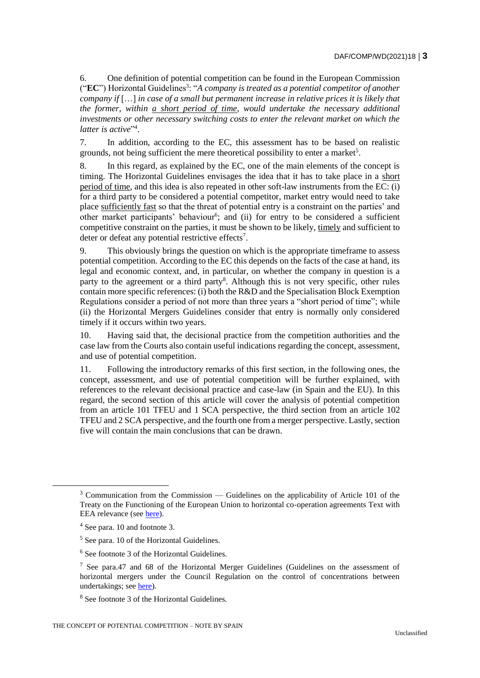6. One definition of potential competition can be found in the European Commission ("EC") Horizontal Guidelines<sup>3</sup>: "A company is treated as a potential competitor of another *company if* […] *in case of a small but permanent increase in relative prices it is likely that the former, within a short period of time, would undertake the necessary additional investments or other necessary switching costs to enter the relevant market on which the*  latter is active"<sup>4</sup>.

7. In addition, according to the EC, this assessment has to be based on realistic grounds, not being sufficient the mere theoretical possibility to enter a market<sup>5</sup>.

8. In this regard, as explained by the EC, one of the main elements of the concept is timing. The Horizontal Guidelines envisages the idea that it has to take place in a short period of time, and this idea is also repeated in other soft-law instruments from the EC: (i) for a third party to be considered a potential competitor, market entry would need to take place sufficiently fast so that the threat of potential entry is a constraint on the parties' and other market participants' behaviour<sup>6</sup>; and (ii) for entry to be considered a sufficient competitive constraint on the parties, it must be shown to be likely, timely and sufficient to deter or defeat any potential restrictive effects<sup>7</sup>.

9. This obviously brings the question on which is the appropriate timeframe to assess potential competition. According to the EC this depends on the facts of the case at hand, its legal and economic context, and, in particular, on whether the company in question is a party to the agreement or a third party<sup>8</sup>. Although this is not very specific, other rules contain more specific references: (i) both the R&D and the Specialisation Block Exemption Regulations consider a period of not more than three years a "short period of time"; while (ii) the Horizontal Mergers Guidelines consider that entry is normally only considered timely if it occurs within two years.

10. Having said that, the decisional practice from the competition authorities and the case law from the Courts also contain useful indications regarding the concept, assessment, and use of potential competition.

11. Following the introductory remarks of this first section, in the following ones, the concept, assessment, and use of potential competition will be further explained, with references to the relevant decisional practice and case-law (in Spain and the EU). In this regard, the second section of this article will cover the analysis of potential competition from an article 101 TFEU and 1 SCA perspective, the third section from an article 102 TFEU and 2 SCA perspective, and the fourth one from a merger perspective. Lastly, section five will contain the main conclusions that can be drawn.

 $3$  Communication from the Commission — Guidelines on the applicability of Article 101 of the Treaty on the Functioning of the European Union to horizontal co-operation agreements Text with EEA relevance (see [here\)](https://eur-lex.europa.eu/legal-content/EN/ALL/?uri=CELEX%3A52011XC0114%2804%29).

<sup>4</sup> See para. 10 and footnote 3.

<sup>5</sup> See para. 10 of the Horizontal Guidelines.

<sup>6</sup> See footnote 3 of the Horizontal Guidelines.

 $<sup>7</sup>$  See para.47 and 68 of the Horizontal Merger Guidelines (Guidelines on the assessment of</sup> horizontal mergers under the Council Regulation on the control of concentrations between undertakings; see [here\)](https://eur-lex.europa.eu/legal-content/EN/ALL/?uri=celex%3A52004XC0205%2802%29).

<sup>8</sup> See footnote 3 of the Horizontal Guidelines.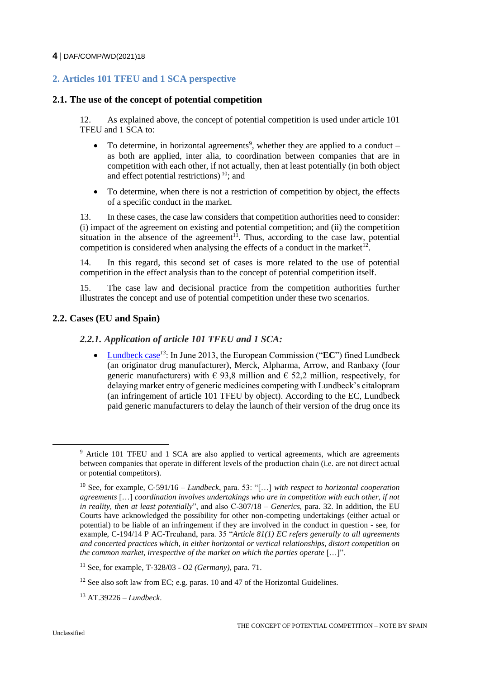## **2. Articles 101 TFEU and 1 SCA perspective**

## **2.1. The use of the concept of potential competition**

12. As explained above, the concept of potential competition is used under article 101 TFEU and 1 SCA to:

- $\bullet$  To determine, in horizontal agreements<sup>9</sup>, whether they are applied to a conduct as both are applied, inter alia, to coordination between companies that are in competition with each other, if not actually, then at least potentially (in both object and effect potential restrictions) <sup>10</sup>; and
- To determine, when there is not a restriction of competition by object, the effects of a specific conduct in the market.

13. In these cases, the case law considers that competition authorities need to consider: (i) impact of the agreement on existing and potential competition; and (ii) the competition situation in the absence of the agreement<sup>11</sup>. Thus, according to the case law, potential competition is considered when analysing the effects of a conduct in the market<sup>12</sup>.

14. In this regard, this second set of cases is more related to the use of potential competition in the effect analysis than to the concept of potential competition itself.

15. The case law and decisional practice from the competition authorities further illustrates the concept and use of potential competition under these two scenarios.

## **2.2. Cases (EU and Spain)**

## *2.2.1. Application of article 101 TFEU and 1 SCA:*

 [Lundbeck case](https://ec.europa.eu/competition/elojade/isef/case_details.cfm?proc_code=1_39226)*<sup>13</sup>*: In June 2013, the European Commission ("**EC**") fined Lundbeck (an originator drug manufacturer), Merck, Alpharma, Arrow, and Ranbaxy (four generic manufacturers) with  $\epsilon$  93,8 million and  $\epsilon$  52,2 million, respectively, for delaying market entry of generic medicines competing with Lundbeck's citalopram (an infringement of article 101 TFEU by object). According to the EC, Lundbeck paid generic manufacturers to delay the launch of their version of the drug once its

<sup>&</sup>lt;sup>9</sup> Article 101 TFEU and 1 SCA are also applied to vertical agreements, which are agreements between companies that operate in different levels of the production chain (i.e. are not direct actual or potential competitors).

<sup>10</sup> See, for example, C-591/16 – *Lundbeck*, para. 53: "[…] *with respect to horizontal cooperation agreements* […] *coordination involves undertakings who are in competition with each other, if not in reality, then at least potentially*", and also C-307/18 – *Generics*, para. 32. In addition, the EU Courts have acknowledged the possibility for other non-competing undertakings (either actual or potential) to be liable of an infringement if they are involved in the conduct in question - see, for example, C-194/14 P AC-Treuhand, para. 35 "*Article 81(1) EC refers generally to all agreements and concerted practices which, in either horizontal or vertical relationships, distort competition on the common market, irrespective of the market on which the parties operate* […]".

<sup>11</sup> See, for example, T-328/03 - *O2 (Germany)*, para. 71.

<sup>&</sup>lt;sup>12</sup> See also soft law from EC; e.g. paras. 10 and 47 of the Horizontal Guidelines.

<sup>13</sup> AT.39226 – *Lundbeck*.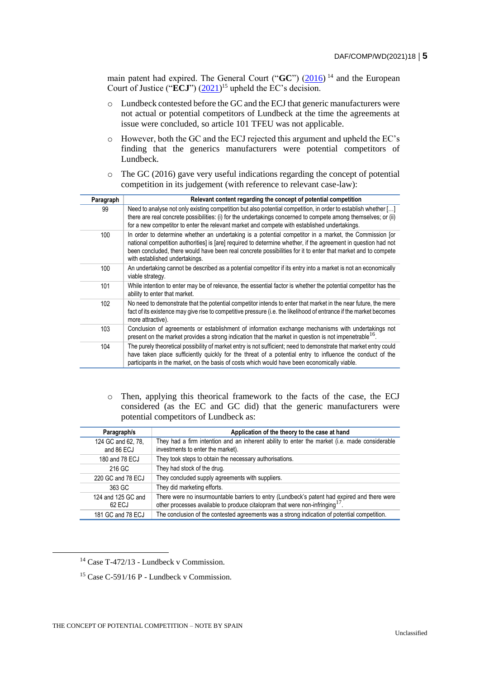main patent had expired. The General Court ("GC") [\(2016\)](https://curia.europa.eu/juris/liste.jsf?oqp=&for=&mat=or&lgrec=es&jge=&td=%3BALL&jur=C%2CT%2CF&num=T-472%252F13&page=1&dates=&pcs=Oor&lg=&pro=&nat=or&cit=none%252CC%252CCJ%252CR%252C2008E%252C%252C%252C%252C%252C%252C%252C%252C%252C%252Ctrue%252Cfalse%252Cfalse&language=en&avg=&cid=5712550)<sup>14</sup> and the European Court of Justice ("**ECJ**") [\(2021\)](https://curia.europa.eu/juris/liste.jsf?oqp=&for=&mat=or&lgrec=es&jge=&td=%3BALL&jur=C%2CT%2CF&num=C-591%252F16&page=1&dates=&pcs=Oor&lg=&pro=&nat=or&cit=none%252CC%252CCJ%252CR%252C2008E%252C%252C%252C%252C%252C%252C%252C%252C%252C%252Ctrue%252Cfalse%252Cfalse&language=en&avg=&cid=5712737)<sup>15</sup> upheld the EC's decision.

- o Lundbeck contested before the GC and the ECJ that generic manufacturers were not actual or potential competitors of Lundbeck at the time the agreements at issue were concluded, so article 101 TFEU was not applicable.
- o However, both the GC and the ECJ rejected this argument and upheld the EC's finding that the generics manufacturers were potential competitors of Lundbeck.
- $\circ$  The GC (2016) gave very useful indications regarding the concept of potential competition in its judgement (with reference to relevant case-law):

| Paragraph | Relevant content regarding the concept of potential competition                                                                                                                                                                                                                                                                                                            |
|-----------|----------------------------------------------------------------------------------------------------------------------------------------------------------------------------------------------------------------------------------------------------------------------------------------------------------------------------------------------------------------------------|
| 99        | Need to analyse not only existing competition but also potential competition, in order to establish whether []<br>there are real concrete possibilities: (i) for the undertakings concerned to compete among themselves; or (ii)<br>for a new competitor to enter the relevant market and compete with established undertakings.                                           |
| 100       | In order to determine whether an undertaking is a potential competitor in a market, the Commission [or<br>national competition authorities] is [are] required to determine whether, if the agreement in question had not<br>been concluded, there would have been real concrete possibilities for it to enter that market and to compete<br>with established undertakings. |
| 100       | An undertaking cannot be described as a potential competitor if its entry into a market is not an economically<br>viable strategy.                                                                                                                                                                                                                                         |
| 101       | While intention to enter may be of relevance, the essential factor is whether the potential competitor has the<br>ability to enter that market.                                                                                                                                                                                                                            |
| 102       | No need to demonstrate that the potential competitor intends to enter that market in the near future, the mere<br>fact of its existence may give rise to competitive pressure (i.e. the likelihood of entrance if the market becomes<br>more attractive).                                                                                                                  |
| 103       | Conclusion of agreements or establishment of information exchange mechanisms with undertakings not<br>present on the market provides a strong indication that the market in question is not impenetrable <sup>16</sup> .                                                                                                                                                   |
| 104       | The purely theoretical possibility of market entry is not sufficient; need to demonstrate that market entry could<br>have taken place sufficiently quickly for the threat of a potential entry to influence the conduct of the<br>participants in the market, on the basis of costs which would have been economically viable.                                             |

o Then, applying this theorical framework to the facts of the case, the ECJ considered (as the EC and GC did) that the generic manufacturers were potential competitors of Lundbeck as:

| Paragraph/s        | Application of the theory to the case at hand                                                 |
|--------------------|-----------------------------------------------------------------------------------------------|
| 124 GC and 62, 78, | They had a firm intention and an inherent ability to enter the market (i.e. made considerable |
| and 86 ECJ         | investments to enter the market).                                                             |
| 180 and 78 ECJ     | They took steps to obtain the necessary authorisations.                                       |
| 216 GC             | They had stock of the drug.                                                                   |
| 220 GC and 78 ECJ  | They concluded supply agreements with suppliers.                                              |
| 363 GC             | They did marketing efforts.                                                                   |
| 124 and 125 GC and | There were no insurmountable barriers to entry (Lundbeck's patent had expired and there were  |
| 62 ECJ             | other processes available to produce citalopram that were non-infringing $17$                 |
| 181 GC and 78 ECJ  | The conclusion of the contested agreements was a strong indication of potential competition.  |

<sup>14</sup> Case T-472/13 - Lundbeck v Commission.

<sup>15</sup> Case C-591/16 P - Lundbeck v Commission.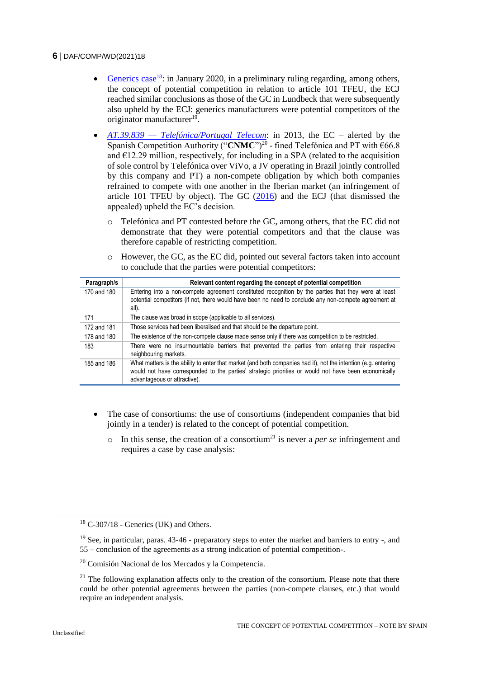- [Generics case](https://curia.europa.eu/juris/liste.jsf?oqp=&for=&mat=or&lgrec=es&jge=&td=%3BALL&jur=C%2CT%2CF&num=C-307%252F18&page=1&dates=&pcs=Oor&lg=&pro=&nat=or&cit=none%252CC%252CCJ%252CR%252C2008E%252C%252C%252C%252C%252C%252C%252C%252C%252C%252Ctrue%252Cfalse%252Cfalse&language=en&avg=&cid=5715594)<sup>18</sup>: in January 2020, in a preliminary ruling regarding, among others, the concept of potential competition in relation to article 101 TFEU, the ECJ reached similar conclusions as those of the GC in Lundbeck that were subsequently also upheld by the ECJ: generics manufacturers were potential competitors of the originator manufacturer<sup>19</sup>.
- *AT.39.839 — [Telefónica/Portugal Telecom](https://ec.europa.eu/competition/elojade/isef/case_details.cfm?proc_code=1_39839)*: in 2013, the EC alerted by the Spanish Competition Authority ("CNMC")<sup>20</sup> - fined Telefónica and PT with €66.8 and  $E12.29$  million, respectively, for including in a SPA (related to the acquisition of sole control by Telefónica over ViVo, a JV operating in Brazil jointly controlled by this company and PT) a non-compete obligation by which both companies refrained to compete with one another in the Iberian market (an infringement of article 101 TFEU by object). The GC  $(2016)$  and the ECJ (that dismissed the appealed) upheld the EC's decision.
	- o Telefónica and PT contested before the GC, among others, that the EC did not demonstrate that they were potential competitors and that the clause was therefore capable of restricting competition.
	- o However, the GC, as the EC did, pointed out several factors taken into account to conclude that the parties were potential competitors:

| Paragraph/s | Relevant content regarding the concept of potential competition                                                                                                                                                                                        |
|-------------|--------------------------------------------------------------------------------------------------------------------------------------------------------------------------------------------------------------------------------------------------------|
| 170 and 180 | Entering into a non-compete agreement constituted recognition by the parties that they were at least<br>potential competitors (if not, there would have been no need to conclude any non-compete agreement at<br>all).                                 |
| 171         | The clause was broad in scope (applicable to all services).                                                                                                                                                                                            |
| 172 and 181 | Those services had been liberalised and that should be the departure point.                                                                                                                                                                            |
| 178 and 180 | The existence of the non-compete clause made sense only if there was competition to be restricted.                                                                                                                                                     |
| 183         | There were no insurmountable barriers that prevented the parties from entering their respective<br>neighbouring markets.                                                                                                                               |
| 185 and 186 | What matters is the ability to enter that market (and both companies had it), not the intention (e.g. entering<br>would not have corresponded to the parties' strategic priorities or would not have been economically<br>advantageous or attractive). |

- The case of consortiums: the use of consortiums (independent companies that bid jointly in a tender) is related to the concept of potential competition.
	- o In this sense, the creation of a consortium<sup>21</sup> is never a *per se* infringement and requires a case by case analysis:

 $18$  C-307/18 - Generics (UK) and Others.

<sup>19</sup> See, in particular, paras. 43-46 - preparatory steps to enter the market and barriers to entry -, and 55 – conclusion of the agreements as a strong indication of potential competition-.

<sup>20</sup> Comisión Nacional de los Mercados y la Competencia.

 $21$  The following explanation affects only to the creation of the consortium. Please note that there could be other potential agreements between the parties (non-compete clauses, etc.) that would require an independent analysis.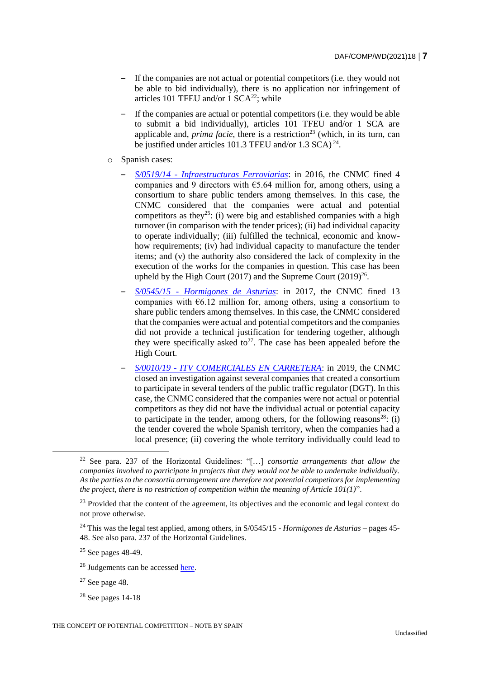- ‒ If the companies are not actual or potential competitors (i.e. they would not be able to bid individually), there is no application nor infringement of articles 101 TFEU and/or  $1 \text{ SCA}^{22}$ ; while
- ‒ If the companies are actual or potential competitors (i.e. they would be able to submit a bid individually), articles 101 TFEU and/or 1 SCA are applicable and, *prima facie*, there is a restriction<sup>23</sup> (which, in its turn, can be justified under articles 101.3 TFEU and/or 1.3 SCA)<sup>24</sup>.
- o Spanish cases:
	- ‒ *S/0519/14 - [Infraestructuras Ferroviarias](https://www.cnmc.es/expedientes/sdc051914)*: in 2016, the CNMC fined 4 companies and 9 directors with  $65.64$  million for, among others, using a consortium to share public tenders among themselves. In this case, the CNMC considered that the companies were actual and potential competitors as they<sup>25</sup>: (i) were big and established companies with a high turnover (in comparison with the tender prices); (ii) had individual capacity to operate individually; (iii) fulfilled the technical, economic and knowhow requirements; (iv) had individual capacity to manufacture the tender items; and (v) the authority also considered the lack of complexity in the execution of the works for the companies in question. This case has been upheld by the High Court (2017) and the Supreme Court  $(2019)^{26}$ .
	- ‒ *S/0545/15 - [Hormigones de Asturias](https://www.cnmc.es/expedientes/sdc054515)*: in 2017, the CNMC fined 13 companies with  $\epsilon$ 6.12 million for, among others, using a consortium to share public tenders among themselves. In this case, the CNMC considered that the companies were actual and potential competitors and the companies did not provide a technical justification for tendering together, although they were specifically asked to<sup>27</sup>. The case has been appealed before the High Court.
	- ‒ *S/0010/19 - [ITV COMERCIALES EN CARRETERA](https://www.cnmc.es/expedientes/s001019)*: in 2019, the CNMC closed an investigation against several companies that created a consortium to participate in several tenders of the public traffic regulator (DGT). In this case, the CNMC considered that the companies were not actual or potential competitors as they did not have the individual actual or potential capacity to participate in the tender, among others, for the following reasons<sup>28</sup>: (i) the tender covered the whole Spanish territory, when the companies had a local presence; (ii) covering the whole territory individually could lead to

<sup>24</sup> This was the legal test applied, among others, in S/0545/15 - *Hormigones de Asturias* – pages 45- 48. See also para. 237 of the Horizontal Guidelines.

<sup>25</sup> See pages 48-49.

 $28$  See pages 14-18

<sup>22</sup> See para. 237 of the Horizontal Guidelines: "[…] *consortia arrangements that allow the companies involved to participate in projects that they would not be able to undertake individually. As the parties to the consortia arrangement are therefore not potential competitors for implementing the project, there is no restriction of competition within the meaning of Article 101(1)*".

<sup>&</sup>lt;sup>23</sup> Provided that the content of the agreement, its objectives and the economic and legal context do not prove otherwise.

<sup>&</sup>lt;sup>26</sup> Judgements can be accessed [here.](https://www.cnmc.es/expedientes/vs051914)

 $27$  See page 48.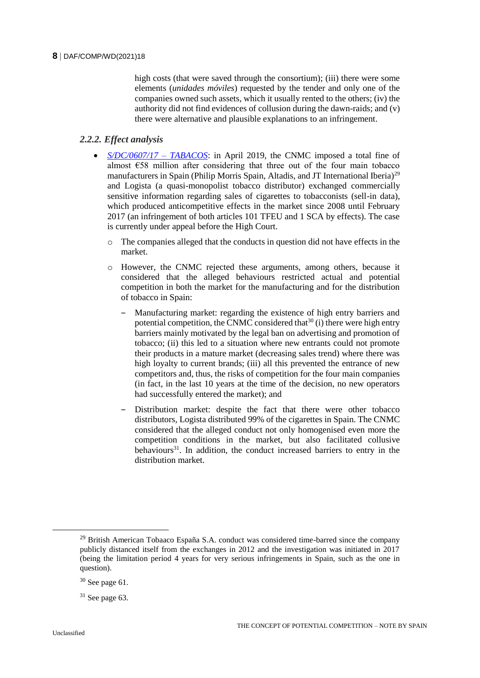high costs (that were saved through the consortium); (iii) there were some elements (*unidades móviles*) requested by the tender and only one of the companies owned such assets, which it usually rented to the others; (iv) the authority did not find evidences of collusion during the dawn-raids; and (v) there were alternative and plausible explanations to an infringement.

## *2.2.2. Effect analysis*

- *[S/DC/0607/17 –](https://www.cnmc.es/expedientes/sdc060717) TABACOS*: in April 2019, the CNMC imposed a total fine of almost  $\epsilon$ 58 million after considering that three out of the four main tobacco manufacturers in Spain (Philip Morris Spain, Altadis, and JT International Iberia)<sup>29</sup> and Logista (a quasi-monopolist tobacco distributor) exchanged commercially sensitive information regarding sales of cigarettes to tobacconists (sell-in data), which produced anticompetitive effects in the market since 2008 until February 2017 (an infringement of both articles 101 TFEU and 1 SCA by effects). The case is currently under appeal before the High Court.
	- o The companies alleged that the conducts in question did not have effects in the market.
	- o However, the CNMC rejected these arguments, among others, because it considered that the alleged behaviours restricted actual and potential competition in both the market for the manufacturing and for the distribution of tobacco in Spain:
		- ‒ Manufacturing market: regarding the existence of high entry barriers and potential competition, the CNMC considered that  $30$  (i) there were high entry barriers mainly motivated by the legal ban on advertising and promotion of tobacco; (ii) this led to a situation where new entrants could not promote their products in a mature market (decreasing sales trend) where there was high loyalty to current brands; (iii) all this prevented the entrance of new competitors and, thus, the risks of competition for the four main companies (in fact, in the last 10 years at the time of the decision, no new operators had successfully entered the market); and
		- ‒ Distribution market: despite the fact that there were other tobacco distributors, Logista distributed 99% of the cigarettes in Spain. The CNMC considered that the alleged conduct not only homogenised even more the competition conditions in the market, but also facilitated collusive behaviours<sup>31</sup>. In addition, the conduct increased barriers to entry in the distribution market.

<sup>&</sup>lt;sup>29</sup> British American Tobaaco España S.A. conduct was considered time-barred since the company publicly distanced itself from the exchanges in 2012 and the investigation was initiated in 2017 (being the limitation period 4 years for very serious infringements in Spain, such as the one in question).

 $30$  See page 61.

 $31$  See page 63.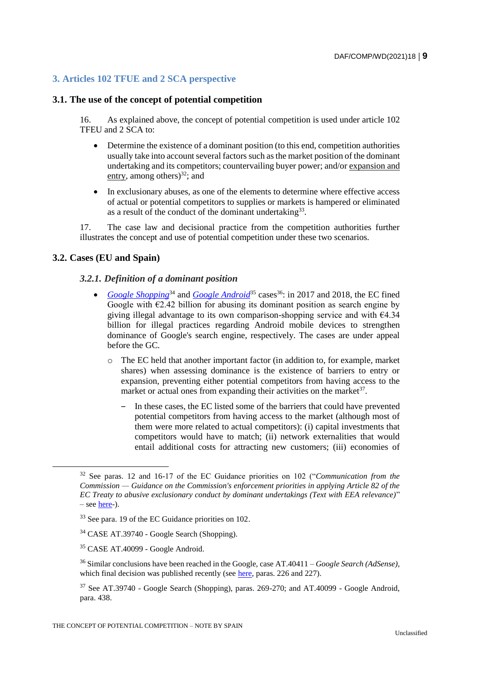## **3. Articles 102 TFUE and 2 SCA perspective**

## **3.1. The use of the concept of potential competition**

16. As explained above, the concept of potential competition is used under article 102 TFEU and 2 SCA to:

- Determine the existence of a dominant position (to this end, competition authorities usually take into account several factors such as the market position of the dominant undertaking and its competitors; countervailing buyer power; and/or expansion and entry, among others)<sup>32</sup>; and
- In exclusionary abuses, as one of the elements to determine where effective access of actual or potential competitors to supplies or markets is hampered or eliminated as a result of the conduct of the dominant undertaking<sup>33</sup>.

17. The case law and decisional practice from the competition authorities further illustrates the concept and use of potential competition under these two scenarios.

## **3.2. Cases (EU and Spain)**

 $\overline{a}$ 

## *3.2.1. Definition of a dominant position*

- *[Google Shopping](https://ec.europa.eu/competition/elojade/isef/case_details.cfm?proc_code=1_39740)*<sup>34</sup> and *[Google Android](https://ec.europa.eu/competition/elojade/isef/case_details.cfm?proc_code=1_40099)*<sup>35</sup> cases<sup>36</sup>: in 2017 and 2018, the EC fined Google with  $\epsilon$ 2.42 billion for abusing its dominant position as search engine by giving illegal advantage to its own comparison-shopping service and with €4.34 billion for illegal practices regarding Android mobile devices to strengthen dominance of Google's search engine, respectively. The cases are under appeal before the GC.
	- o The EC held that another important factor (in addition to, for example, market shares) when assessing dominance is the existence of barriers to entry or expansion, preventing either potential competitors from having access to the market or actual ones from expanding their activities on the market<sup>37</sup>.
		- ‒ In these cases, the EC listed some of the barriers that could have prevented potential competitors from having access to the market (although most of them were more related to actual competitors): (i) capital investments that competitors would have to match; (ii) network externalities that would entail additional costs for attracting new customers; (iii) economies of

<sup>32</sup> See paras. 12 and 16-17 of the EC Guidance priorities on 102 ("*Communication from the Commission — Guidance on the Commission's enforcement priorities in applying Article 82 of the EC Treaty to abusive exclusionary conduct by dominant undertakings (Text with EEA relevance)*"  $-$  see  $here-$ ).</u>

<sup>33</sup> See para. 19 of the EC Guidance priorities on 102.

<sup>34</sup> CASE AT.39740 - Google Search (Shopping).

<sup>35</sup> CASE AT.40099 - Google Android.

<sup>36</sup> Similar conclusions have been reached in the Google, case AT.40411 – *Google Search (AdSense)*, which final decision was published recently (see [here,](https://ec.europa.eu/competition/elojade/isef/case_details.cfm?proc_code=1_39740) paras. 226 and 227).

 $37$  See AT.39740 - Google Search (Shopping), paras. 269-270; and AT.40099 - Google Android, para. 438.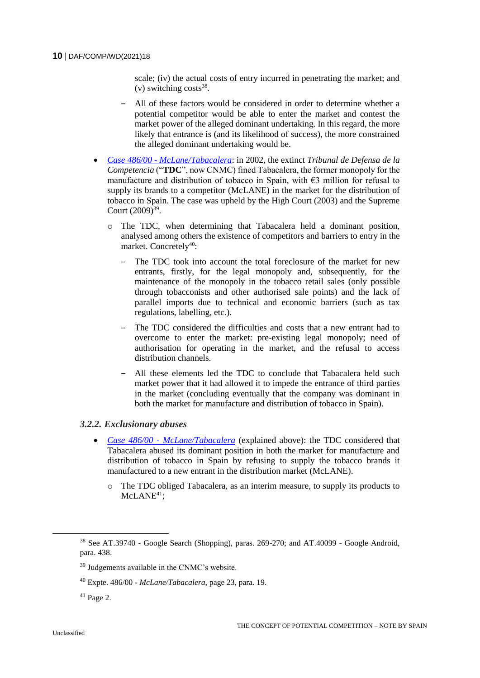scale; (iv) the actual costs of entry incurred in penetrating the market; and  $(v)$  switching costs<sup>38</sup>.

- ‒ All of these factors would be considered in order to determine whether a potential competitor would be able to enter the market and contest the market power of the alleged dominant undertaking. In this regard, the more likely that entrance is (and its likelihood of success), the more constrained the alleged dominant undertaking would be.
- *Case 486/00 - [McLane/Tabacalera](https://www.cnmc.es/expedientes/48600)*: in 2002, the extinct *Tribunal de Defensa de la Competencia* ("**TDC**", now CNMC) fined Tabacalera, the former monopoly for the manufacture and distribution of tobacco in Spain, with  $\epsilon$ 3 million for refusal to supply its brands to a competitor (McLANE) in the market for the distribution of tobacco in Spain. The case was upheld by the High Court (2003) and the Supreme Court (2009)<sup>39</sup>.
	- o The TDC, when determining that Tabacalera held a dominant position, analysed among others the existence of competitors and barriers to entry in the market. Concretely<sup>40</sup>:
		- The TDC took into account the total foreclosure of the market for new entrants, firstly, for the legal monopoly and, subsequently, for the maintenance of the monopoly in the tobacco retail sales (only possible through tobacconists and other authorised sale points) and the lack of parallel imports due to technical and economic barriers (such as tax regulations, labelling, etc.).
		- ‒ The TDC considered the difficulties and costs that a new entrant had to overcome to enter the market: pre-existing legal monopoly; need of authorisation for operating in the market, and the refusal to access distribution channels.
		- All these elements led the TDC to conclude that Tabacalera held such market power that it had allowed it to impede the entrance of third parties in the market (concluding eventually that the company was dominant in both the market for manufacture and distribution of tobacco in Spain).

## *3.2.2. Exclusionary abuses*

- *Case 486/00 - [McLane/Tabacalera](https://www.cnmc.es/expedientes/48600)* (explained above): the TDC considered that Tabacalera abused its dominant position in both the market for manufacture and distribution of tobacco in Spain by refusing to supply the tobacco brands it manufactured to a new entrant in the distribution market (McLANE).
	- o The TDC obliged Tabacalera, as an interim measure, to supply its products to McLANE<sup>41</sup>:

<sup>&</sup>lt;sup>38</sup> See AT.39740 - Google Search (Shopping), paras. 269-270; and AT.40099 - Google Android, para. 438.

<sup>39</sup> Judgements available in the CNMC's website.

<sup>40</sup> Expte. 486/00 - *McLane/Tabacalera*, page 23, para. 19.

 $41$  Page 2.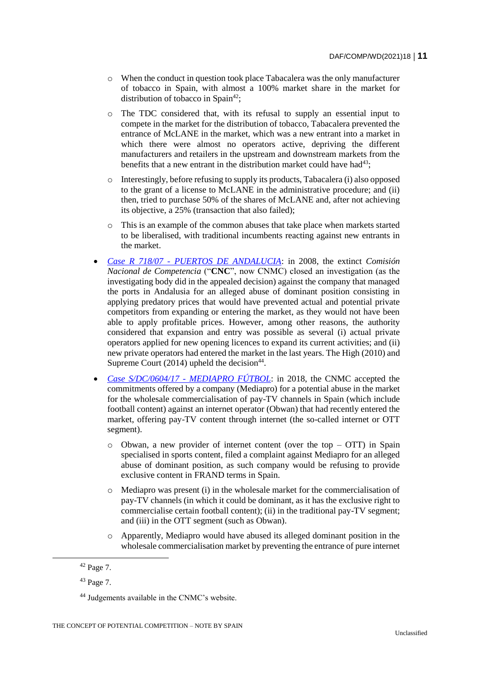- o When the conduct in question took place Tabacalera was the only manufacturer of tobacco in Spain, with almost a 100% market share in the market for distribution of tobacco in Spain<sup>42</sup>;
- o The TDC considered that, with its refusal to supply an essential input to compete in the market for the distribution of tobacco, Tabacalera prevented the entrance of McLANE in the market, which was a new entrant into a market in which there were almost no operators active, depriving the different manufacturers and retailers in the upstream and downstream markets from the benefits that a new entrant in the distribution market could have had<sup>43</sup>:
- o Interestingly, before refusing to supply its products, Tabacalera (i) also opposed to the grant of a license to McLANE in the administrative procedure; and (ii) then, tried to purchase 50% of the shares of McLANE and, after not achieving its objective, a 25% (transaction that also failed);
- This is an example of the common abuses that take place when markets started to be liberalised, with traditional incumbents reacting against new entrants in the market.
- *Case R 718/07 - [PUERTOS DE ANDALUCIA](https://www.cnmc.es/expedientes/r-71807)*: in 2008, the extinct *Comisión Nacional de Competencia* ("**CNC**", now CNMC) closed an investigation (as the investigating body did in the appealed decision) against the company that managed the ports in Andalusia for an alleged abuse of dominant position consisting in applying predatory prices that would have prevented actual and potential private competitors from expanding or entering the market, as they would not have been able to apply profitable prices. However, among other reasons, the authority considered that expansion and entry was possible as several (i) actual private operators applied for new opening licences to expand its current activities; and (ii) new private operators had entered the market in the last years. The High (2010) and Supreme Court  $(2014)$  upheld the decision<sup>44</sup>.
- *Case S/DC/0604/17 - [MEDIAPRO FÚTBOL](https://www.cnmc.es/expedientes/sdc060417)*: in 2018, the CNMC accepted the commitments offered by a company (Mediapro) for a potential abuse in the market for the wholesale commercialisation of pay-TV channels in Spain (which include football content) against an internet operator (Obwan) that had recently entered the market, offering pay-TV content through internet (the so-called internet or OTT segment).
	- $\circ$  Obwan, a new provider of internet content (over the top OTT) in Spain specialised in sports content, filed a complaint against Mediapro for an alleged abuse of dominant position, as such company would be refusing to provide exclusive content in FRAND terms in Spain.
	- o Mediapro was present (i) in the wholesale market for the commercialisation of pay-TV channels (in which it could be dominant, as it has the exclusive right to commercialise certain football content); (ii) in the traditional pay-TV segment; and (iii) in the OTT segment (such as Obwan).
	- o Apparently, Mediapro would have abused its alleged dominant position in the wholesale commercialisation market by preventing the entrance of pure internet

<sup>42</sup> Page 7.

<sup>43</sup> Page 7.

<sup>44</sup> Judgements available in the CNMC's website.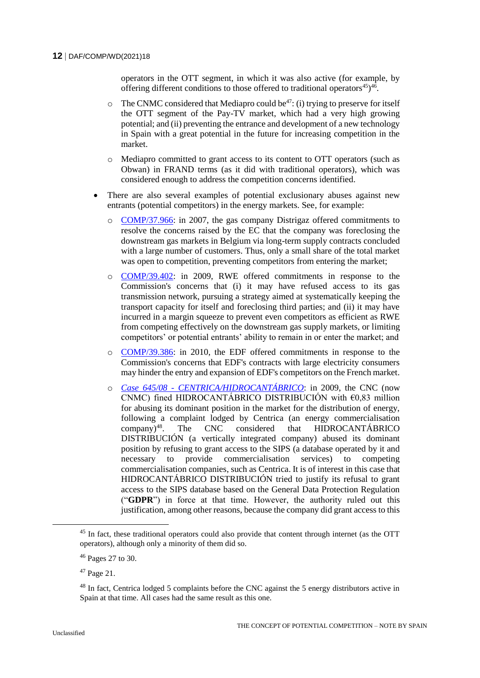operators in the OTT segment, in which it was also active (for example, by offering different conditions to those offered to traditional operators $45$ <sup>45</sup>.

- $\circ$  The CNMC considered that Mediapro could be<sup>47</sup>: (i) trying to preserve for itself the OTT segment of the Pay-TV market, which had a very high growing potential; and (ii) preventing the entrance and development of a new technology in Spain with a great potential in the future for increasing competition in the market.
- o Mediapro committed to grant access to its content to OTT operators (such as Obwan) in FRAND terms (as it did with traditional operators), which was considered enough to address the competition concerns identified.
- There are also several examples of potential exclusionary abuses against new entrants (potential competitors) in the energy markets. See, for example:
	- o [COMP/37.966:](https://ec.europa.eu/competition/elojade/isef/case_details.cfm?proc_code=1_37966) in 2007, the gas company Distrigaz offered commitments to resolve the concerns raised by the EC that the company was foreclosing the downstream gas markets in Belgium via long-term supply contracts concluded with a large number of customers. Thus, only a small share of the total market was open to competition, preventing competitors from entering the market;
	- o [COMP/39.402:](https://ec.europa.eu/competition/elojade/isef/case_details.cfm?proc_code=1_39402) in 2009, RWE offered commitments in response to the Commission's concerns that (i) it may have refused access to its gas transmission network, pursuing a strategy aimed at systematically keeping the transport capacity for itself and foreclosing third parties; and (ii) it may have incurred in a margin squeeze to prevent even competitors as efficient as RWE from competing effectively on the downstream gas supply markets, or limiting competitors' or potential entrants' ability to remain in or enter the market; and
	- o [COMP/39.386:](https://ec.europa.eu/competition/elojade/isef/case_details.cfm?proc_code=1_39386) in 2010, the EDF offered commitments in response to the Commission's concerns that EDF's contracts with large electricity consumers may hinder the entry and expansion of EDF's competitors on the French market.
	- o *Case 645/08 - [CENTRICA/HIDROCANTÁBRICO](https://www.cnmc.es/expedientes/64508)*: in 2009, the CNC (now CNMC) fined HIDROCANTÁBRICO DISTRIBUCIÓN with  $\epsilon$ 0,83 million for abusing its dominant position in the market for the distribution of energy, following a complaint lodged by Centrica (an energy commercialisation company)<sup>48</sup>. The CNC considered that HIDROCANTÁBRICO DISTRIBUCIÓN (a vertically integrated company) abused its dominant position by refusing to grant access to the SIPS (a database operated by it and necessary to provide commercialisation services) to competing commercialisation companies, such as Centrica. It is of interest in this case that HIDROCANTÁBRICO DISTRIBUCIÓN tried to justify its refusal to grant access to the SIPS database based on the General Data Protection Regulation ("**GDPR**") in force at that time. However, the authority ruled out this justification, among other reasons, because the company did grant access to this

<sup>&</sup>lt;sup>45</sup> In fact, these traditional operators could also provide that content through internet (as the OTT operators), although only a minority of them did so.

<sup>46</sup> Pages 27 to 30.

<sup>47</sup> Page 21.

<sup>&</sup>lt;sup>48</sup> In fact, Centrica lodged 5 complaints before the CNC against the 5 energy distributors active in Spain at that time. All cases had the same result as this one.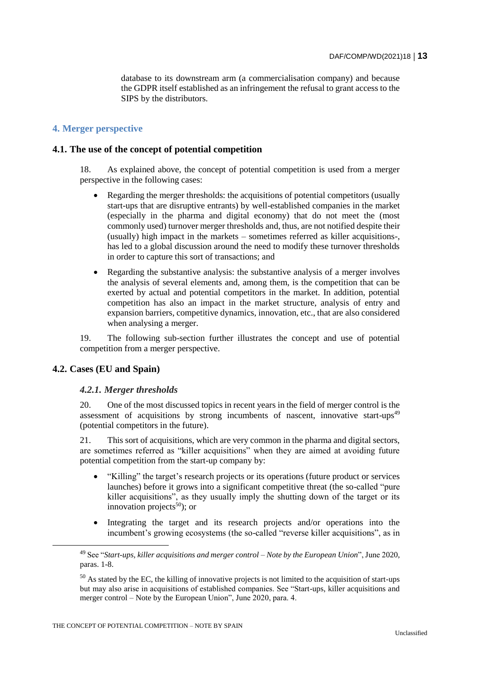database to its downstream arm (a commercialisation company) and because the GDPR itself established as an infringement the refusal to grant access to the SIPS by the distributors.

## **4. Merger perspective**

## **4.1. The use of the concept of potential competition**

18. As explained above, the concept of potential competition is used from a merger perspective in the following cases:

- Regarding the merger thresholds: the acquisitions of potential competitors (usually start-ups that are disruptive entrants) by well-established companies in the market (especially in the pharma and digital economy) that do not meet the (most commonly used) turnover merger thresholds and, thus, are not notified despite their (usually) high impact in the markets – sometimes referred as killer acquisitions-, has led to a global discussion around the need to modify these turnover thresholds in order to capture this sort of transactions; and
- Regarding the substantive analysis: the substantive analysis of a merger involves the analysis of several elements and, among them, is the competition that can be exerted by actual and potential competitors in the market. In addition, potential competition has also an impact in the market structure, analysis of entry and expansion barriers, competitive dynamics, innovation, etc., that are also considered when analysing a merger.

19. The following sub-section further illustrates the concept and use of potential competition from a merger perspective.

## **4.2. Cases (EU and Spain)**

## *4.2.1. Merger thresholds*

20. One of the most discussed topics in recent years in the field of merger control is the assessment of acquisitions by strong incumbents of nascent, innovative start-ups $49$ (potential competitors in the future).

21. This sort of acquisitions, which are very common in the pharma and digital sectors, are sometimes referred as "killer acquisitions" when they are aimed at avoiding future potential competition from the start-up company by:

- "Killing" the target's research projects or its operations (future product or services launches) before it grows into a significant competitive threat (the so-called "pure killer acquisitions", as they usually imply the shutting down of the target or its innovation projects<sup>50</sup>); or
- Integrating the target and its research projects and/or operations into the incumbent's growing ecosystems (the so-called "reverse killer acquisitions", as in

<sup>49</sup> See "*Start-ups, killer acquisitions and merger control – Note by the European Union*", June 2020, paras. 1-8.

 $50$  As stated by the EC, the killing of innovative projects is not limited to the acquisition of start-ups but may also arise in acquisitions of established companies. See "Start-ups, killer acquisitions and merger control – Note by the European Union", June 2020, para. 4.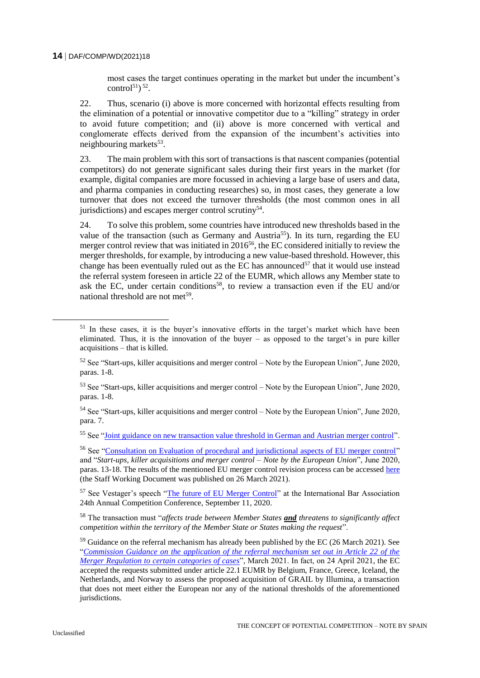most cases the target continues operating in the market but under the incumbent's control<sup>51</sup>)<sup>52</sup>.

22. Thus, scenario (i) above is more concerned with horizontal effects resulting from the elimination of a potential or innovative competitor due to a "killing" strategy in order to avoid future competition; and (ii) above is more concerned with vertical and conglomerate effects derived from the expansion of the incumbent's activities into neighbouring markets<sup>53</sup>.

23. The main problem with this sort of transactions is that nascent companies (potential competitors) do not generate significant sales during their first years in the market (for example, digital companies are more focussed in achieving a large base of users and data, and pharma companies in conducting researches) so, in most cases, they generate a low turnover that does not exceed the turnover thresholds (the most common ones in all jurisdictions) and escapes merger control scrutiny<sup>54</sup>.

24. To solve this problem, some countries have introduced new thresholds based in the value of the transaction (such as Germany and Austria<sup>55</sup>). In its turn, regarding the EU merger control review that was initiated in 2016<sup>56</sup>, the EC considered initially to review the merger thresholds, for example, by introducing a new value-based threshold. However, this change has been eventually ruled out as the EC has announced $57$  that it would use instead the referral system foreseen in article 22 of the EUMR, which allows any Member state to ask the EC, under certain conditions<sup>58</sup>, to review a transaction even if the EU and/or national threshold are not met<sup>59</sup>.

<sup>57</sup> See Vestager's speech ["The future of EU Merger Control"](https://ec.europa.eu/commission/commissioners/2019-2024/vestager/announcements/future-eu-merger-control_en) at the International Bar Association 24th Annual Competition Conference, September 11, 2020.

<sup>58</sup> The transaction must "*affects trade between Member States and threatens to significantly affect competition within the territory of the Member State or States making the request*".

<sup>&</sup>lt;sup>51</sup> In these cases, it is the buyer's innovative efforts in the target's market which have been eliminated. Thus, it is the innovation of the buyer – as opposed to the target's in pure killer acquisitions – that is killed.

 $52$  See "Start-ups, killer acquisitions and merger control – Note by the European Union", June 2020, paras. 1-8.

<sup>53</sup> See "Start-ups, killer acquisitions and merger control – Note by the European Union", June 2020, paras. 1-8.

 $54$  See "Start-ups, killer acquisitions and merger control – Note by the European Union", June 2020, para. 7.

<sup>&</sup>lt;sup>55</sup> See ["Joint guidance on new transaction value threshold in German and Austrian merger control"](https://webgate.ec.europa.eu/multisite/ecn-brief/en/content/joint-guidance-new-transaction-value-threshold-german-and-austrian-merger-control).

<sup>56</sup> See ["Consultation on Evaluation of procedural and jurisdictional aspects of EU merger control"](https://ec.europa.eu/competition/consultations/2016_merger_control/index_en.html) and "*Start-ups, killer acquisitions and merger control – Note by the European Union*", June 2020, paras. 13-18. The results of the mentioned EU merger control revision process can be accessed [here](https://ec.europa.eu/competition/consultations/2021_merger_control/SWD_findings_of_evaluation.pdf) (the Staff Working Document was published on 26 March 2021).

<sup>&</sup>lt;sup>59</sup> Guidance on the referral mechanism has already been published by the EC (26 March 2021). See "*[Commission Guidance on the application of the referral mechanism set out in Article 22 of the](https://ec.europa.eu/competition/consultations/2021_merger_control/guidance_article_22_referrals.pdf)  [Merger Regulation to certain categories of cases](https://ec.europa.eu/competition/consultations/2021_merger_control/guidance_article_22_referrals.pdf)*", March 2021. In fact, on 24 April 2021, the EC accepted the requests submitted under article 22.1 EUMR by Belgium, France, Greece, Iceland, the Netherlands, and Norway to assess the proposed acquisition of GRAIL by Illumina, a transaction that does not meet either the European nor any of the national thresholds of the aforementioned jurisdictions.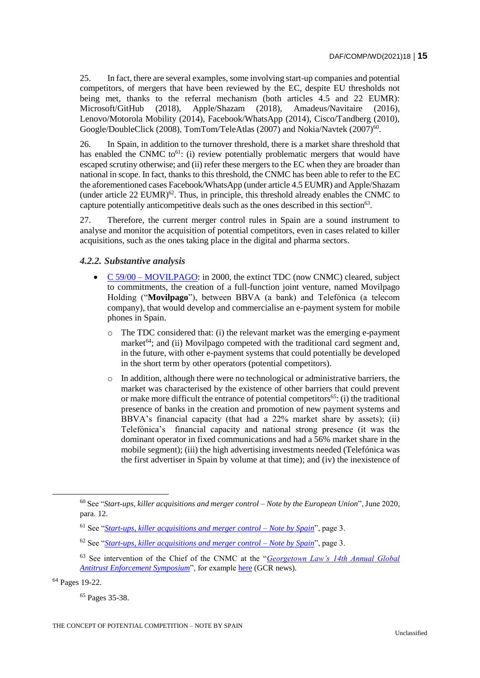25. In fact, there are several examples, some involving start-up companies and potential competitors, of mergers that have been reviewed by the EC, despite EU thresholds not being met, thanks to the referral mechanism (both articles 4.5 and 22 EUMR): Microsoft/GitHub (2018), Apple/Shazam (2018), Amadeus/Navitaire (2016), Lenovo/Motorola Mobility (2014), Facebook/WhatsApp (2014), Cisco/Tandberg (2010), Google/DoubleClick (2008), TomTom/TeleAtlas (2007) and Nokia/Navtek (2007)<sup>60</sup>.

26. In Spain, in addition to the turnover threshold, there is a market share threshold that has enabled the CNMC to<sup>61</sup>: (i) review potentially problematic mergers that would have escaped scrutiny otherwise; and (ii) refer these mergers to the EC when they are broader than national in scope. In fact, thanks to this threshold, the CNMC has been able to refer to the EC the aforementioned cases Facebook/WhatsApp (under article 4.5 EUMR) and Apple/Shazam (under article  $22$  EUMR)<sup>62</sup>. Thus, in principle, this threshold already enables the CNMC to capture potentially anticompetitive deals such as the ones described in this section $63$ .

27. Therefore, the current merger control rules in Spain are a sound instrument to analyse and monitor the acquisition of potential competitors, even in cases related to killer acquisitions, such as the ones taking place in the digital and pharma sectors.

## *4.2.2. Substantive analysis*

- C 59/00 [MOVILPAGO:](https://www.cnmc.es/expedientes/c5900) in 2000, the extinct TDC (now CNMC) cleared, subject to commitments, the creation of a full-function joint venture, named Movilpago Holding ("**Movilpago**"), between BBVA (a bank) and Telefónica (a telecom company), that would develop and commercialise an e-payment system for mobile phones in Spain.
	- The TDC considered that: (i) the relevant market was the emerging e-payment market $^{64}$ ; and (ii) Movilpago competed with the traditional card segment and, in the future, with other e-payment systems that could potentially be developed in the short term by other operators (potential competitors).
	- o In addition, although there were no technological or administrative barriers, the market was characterised by the existence of other barriers that could prevent or make more difficult the entrance of potential competitors<sup>65</sup>: (i) the traditional presence of banks in the creation and promotion of new payment systems and BBVA's financial capacity (that had a 22% market share by assets); (ii) Telefónica's financial capacity and national strong presence (it was the dominant operator in fixed communications and had a 56% market share in the mobile segment); (iii) the high advertising investments needed (Telefónica was the first advertiser in Spain by volume at that time); and (iv) the inexistence of

<sup>64</sup> Pages 19-22.

<sup>60</sup> See "*Start-ups, killer acquisitions and merger control – Note by the European Union*", June 2020, para. 12.

<sup>61</sup> See "*[Start-ups, killer acquisitions and merger control –](https://www.oecd.org/daf/competition/start-ups-killer-acquisitions-and-merger-control.htm) Note by Spain*", page 3.

<sup>62</sup> See "*[Start-ups, killer acquisitions and merger control –](https://www.oecd.org/daf/competition/start-ups-killer-acquisitions-and-merger-control.htm) Note by Spain*", page 3.

<sup>63</sup> See intervention of the Chief of the CNMC at the "*[Georgetown Law's 14th Annual Global](https://www.law.georgetown.edu/news/georgetown-laws-14th-annual-global-antitrust-enforcement-symposium/)  [Antitrust Enforcement Symposium](https://www.law.georgetown.edu/news/georgetown-laws-14th-annual-global-antitrust-enforcement-symposium/)*", for example [here](https://globalcompetitionreview.com/digital-markets/spanish-enforcer-backs-market-share-thresholds-digital-deals) (GCR news).

<sup>65</sup> Pages 35-38.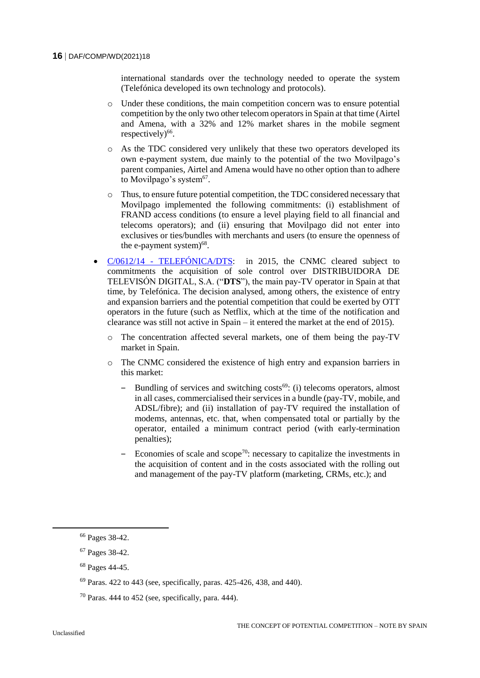international standards over the technology needed to operate the system (Telefónica developed its own technology and protocols).

- o Under these conditions, the main competition concern was to ensure potential competition by the only two other telecom operators in Spain at that time (Airtel and Amena, with a 32% and 12% market shares in the mobile segment respectively)<sup>66</sup>.
- o As the TDC considered very unlikely that these two operators developed its own e-payment system, due mainly to the potential of the two Movilpago's parent companies, Airtel and Amena would have no other option than to adhere to Movilpago's system<sup>67</sup>.
- o Thus, to ensure future potential competition, the TDC considered necessary that Movilpago implemented the following commitments: (i) establishment of FRAND access conditions (to ensure a level playing field to all financial and telecoms operators); and (ii) ensuring that Movilpago did not enter into exclusives or ties/bundles with merchants and users (to ensure the openness of the e-payment system $)^{68}$ .
- C/0612/14 [TELEFÓNICA/DTS:](https://www.cnmc.es/expedientes/c061214) in 2015, the CNMC cleared subject to commitments the acquisition of sole control over DISTRIBUIDORA DE TELEVISÓN DIGITAL, S.A. ("**DTS**"), the main pay-TV operator in Spain at that time, by Telefónica. The decision analysed, among others, the existence of entry and expansion barriers and the potential competition that could be exerted by OTT operators in the future (such as Netflix, which at the time of the notification and clearance was still not active in Spain – it entered the market at the end of 2015).
	- o The concentration affected several markets, one of them being the pay-TV market in Spain.
	- o The CNMC considered the existence of high entry and expansion barriers in this market:
		- Bundling of services and switching  $costs<sup>69</sup>$ : (i) telecoms operators, almost in all cases, commercialised their services in a bundle (pay-TV, mobile, and ADSL/fibre); and (ii) installation of pay-TV required the installation of modems, antennas, etc. that, when compensated total or partially by the operator, entailed a minimum contract period (with early-termination penalties);
		- Economies of scale and  $\text{scope}^{70}$ : necessary to capitalize the investments in the acquisition of content and in the costs associated with the rolling out and management of the pay-TV platform (marketing, CRMs, etc.); and

<sup>66</sup> Pages 38-42.

<sup>67</sup> Pages 38-42.

<sup>68</sup> Pages 44-45.

 $69$  Paras, 422 to 443 (see, specifically, paras, 425-426, 438, and 440).

 $70$  Paras. 444 to 452 (see, specifically, para. 444).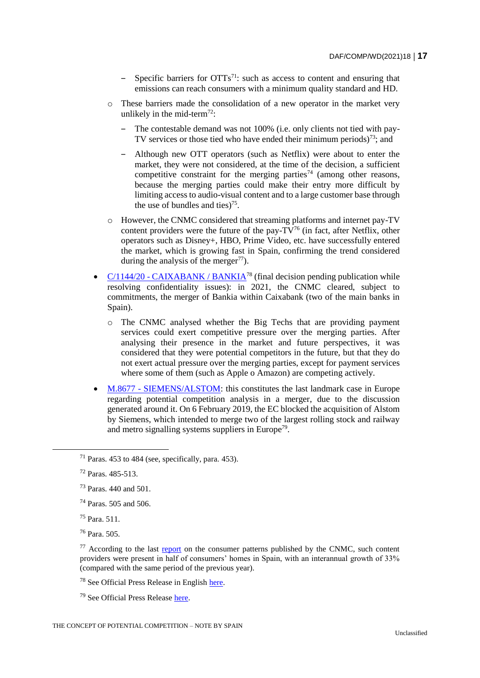- Specific barriers for  $\text{OTTs}^{71}$ : such as access to content and ensuring that emissions can reach consumers with a minimum quality standard and HD.
- o These barriers made the consolidation of a new operator in the market very unlikely in the mid-term<sup>72</sup>:
	- The contestable demand was not 100% (i.e. only clients not tied with pay-TV services or those tied who have ended their minimum periods)<sup>73</sup>; and
	- ‒ Although new OTT operators (such as Netflix) were about to enter the market, they were not considered, at the time of the decision, a sufficient competitive constraint for the merging parties<sup>74</sup> (among other reasons, because the merging parties could make their entry more difficult by limiting access to audio-visual content and to a large customer base through the use of bundles and ties) $75$ .
- o However, the CNMC considered that streaming platforms and internet pay-TV content providers were the future of the pay- $TV^{76}$  (in fact, after Netflix, other operators such as Disney+, HBO, Prime Video, etc. have successfully entered the market, which is growing fast in Spain, confirming the trend considered during the analysis of the merger<sup>77</sup>).
- $C/1144/20$  [CAIXABANK / BANKIA](https://www.cnmc.es/expedientes/c114420)<sup>78</sup> (final decision pending publication while resolving confidentiality issues): in 2021, the CNMC cleared, subject to commitments, the merger of Bankia within Caixabank (two of the main banks in Spain).
	- o The CNMC analysed whether the Big Techs that are providing payment services could exert competitive pressure over the merging parties. After analysing their presence in the market and future perspectives, it was considered that they were potential competitors in the future, but that they do not exert actual pressure over the merging parties, except for payment services where some of them (such as Apple o Amazon) are competing actively.
- M.8677 [SIEMENS/ALSTOM:](https://ec.europa.eu/competition/elojade/isef/case_details.cfm?proc_code=2_M_8677) this constitutes the last landmark case in Europe regarding potential competition analysis in a merger, due to the discussion generated around it. On 6 February 2019, the EC blocked the acquisition of Alstom by Siemens, which intended to merge two of the largest rolling stock and railway and metro signalling systems suppliers in Europe<sup>79</sup>.

 $71$  Paras. 453 to 484 (see, specifically, para. 453).

<sup>72</sup> Paras. 485-513.

<sup>73</sup> Paras. 440 and 501.

<sup>74</sup> Paras. 505 and 506.

<sup>75</sup> Para. 511.

<sup>76</sup> Para. 505.

 $77$  According to the last [report](https://blog.cnmc.es/2020/10/30/panel-de-hogares-cnmc-el-uso-del-movil-se-disparo-durante-los-primeros-meses-covid-19/) on the consumer patterns published by the CNMC, such content providers were present in half of consumers' homes in Spain, with an interannual growth of 33% (compared with the same period of the previous year).

<sup>78</sup> See Official Press Release in English [here.](https://www.cnmc.es/sites/default/files/editor_contenidos/Notas%20de%20prensa/2021/20210324_NP_CAIXABANK_BANKIA_ENG.pdf)

<sup>79</sup> See Official Press Release [here.](https://ec.europa.eu/commission/presscorner/detail/sv/IP_19_881)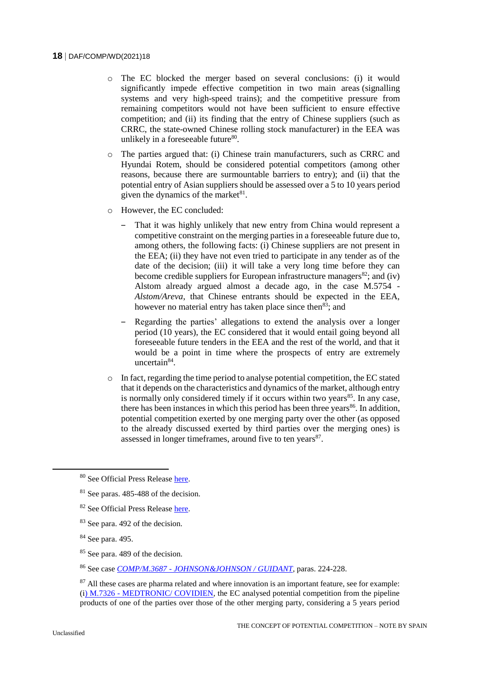- o The EC blocked the merger based on several conclusions: (i) it would significantly impede effective competition in two main areas (signalling systems and very high-speed trains); and the competitive pressure from remaining competitors would not have been sufficient to ensure effective competition; and (ii) its finding that the entry of Chinese suppliers (such as CRRC, the state-owned Chinese rolling stock manufacturer) in the EEA was unlikely in a foreseeable future<sup>80</sup>.
- o The parties argued that: (i) Chinese train manufacturers, such as CRRC and Hyundai Rotem, should be considered potential competitors (among other reasons, because there are surmountable barriers to entry); and (ii) that the potential entry of Asian suppliers should be assessed over a 5 to 10 years period given the dynamics of the market $81$ .
- o However, the EC concluded:
	- ‒ That it was highly unlikely that new entry from China would represent a competitive constraint on the merging parties in a foreseeable future due to, among others, the following facts: (i) Chinese suppliers are not present in the EEA; (ii) they have not even tried to participate in any tender as of the date of the decision; (iii) it will take a very long time before they can become credible suppliers for European infrastructure managers<sup>82</sup>; and (iv) Alstom already argued almost a decade ago, in the case M.5754 - *Alstom/Areva*, that Chinese entrants should be expected in the EEA, however no material entry has taken place since then<sup>83</sup>; and
	- ‒ Regarding the parties' allegations to extend the analysis over a longer period (10 years), the EC considered that it would entail going beyond all foreseeable future tenders in the EEA and the rest of the world, and that it would be a point in time where the prospects of entry are extremely uncertain<sup>84</sup>.
- o In fact, regarding the time period to analyse potential competition, the EC stated that it depends on the characteristics and dynamics of the market, although entry is normally only considered timely if it occurs within two years<sup>85</sup>. In any case, there has been instances in which this period has been three years<sup>86</sup>. In addition, potential competition exerted by one merging party over the other (as opposed to the already discussed exerted by third parties over the merging ones) is assessed in longer timeframes, around five to ten years<sup>87</sup>.

<sup>86</sup> See case *COMP/M.3687 - [JOHNSON&JOHNSON / GUIDANT](https://ec.europa.eu/competition/mergers/cases/decisions/m3687_20050825_20600_en.pdf)*, paras. 224-228.

<sup>80</sup> See Official Press Release [here.](https://ec.europa.eu/commission/presscorner/detail/sv/IP_19_881)

<sup>81</sup> See paras. 485-488 of the decision.

<sup>82</sup> See Official Press Release [here.](https://ec.europa.eu/commission/presscorner/detail/sv/IP_19_881)

<sup>83</sup> See para. 492 of the decision.

<sup>84</sup> See para. 495.

<sup>85</sup> See para. 489 of the decision.

<sup>&</sup>lt;sup>87</sup> All these cases are pharma related and where innovation is an important feature, see for example: (i) M.7326 - [MEDTRONIC/ COVIDIEN,](https://ec.europa.eu/competition/elojade/isef/case_details.cfm?proc_code=2_M_7326) the EC analysed potential competition from the pipeline products of one of the parties over those of the other merging party, considering a 5 years period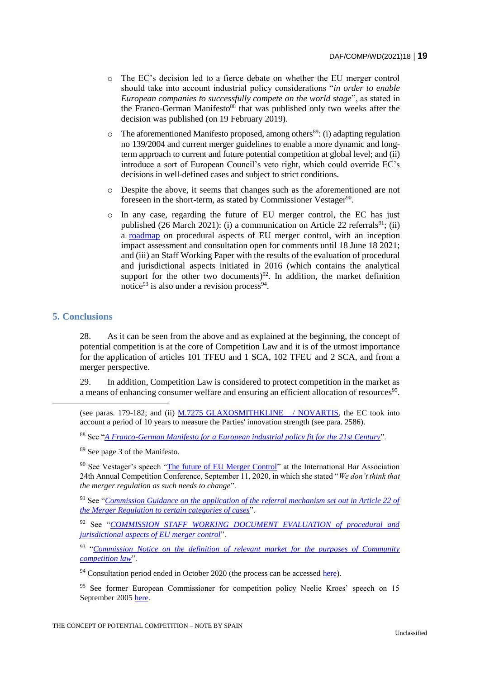- o The EC's decision led to a fierce debate on whether the EU merger control should take into account industrial policy considerations "*in order to enable European companies to successfully compete on the world stage*", as stated in the Franco-German Manifesto<sup>88</sup> that was published only two weeks after the decision was published (on 19 February 2019).
- $\circ$  The aforementioned Manifesto proposed, among others<sup>89</sup>: (i) adapting regulation no 139/2004 and current merger guidelines to enable a more dynamic and longterm approach to current and future potential competition at global level; and (ii) introduce a sort of European Council's veto right, which could override EC's decisions in well-defined cases and subject to strict conditions.
- o Despite the above, it seems that changes such as the aforementioned are not foreseen in the short-term, as stated by Commissioner Vestager<sup>90</sup>.
- o In any case, regarding the future of EU merger control, the EC has just published (26 March 2021): (i) a communication on Article 22 referrals<sup>91</sup>; (ii) a [roadmap](https://ec.europa.eu/info/law/better-regulation/have-your-say/initiatives/12957-Revision-of-certain-procedural-aspects-of-EU-merger-control) on procedural aspects of EU merger control, with an inception impact assessment and consultation open for comments until 18 June 18 2021; and (iii) an Staff Working Paper with the results of the evaluation of procedural and jurisdictional aspects initiated in 2016 (which contains the analytical support for the other two documents)<sup>92</sup>. In addition, the market definition notice<sup>93</sup> is also under a revision process<sup>94</sup>.

## **5. Conclusions**

28. As it can be seen from the above and as explained at the beginning, the concept of potential competition is at the core of Competition Law and it is of the utmost importance for the application of articles 101 TFEU and 1 SCA, 102 TFEU and 2 SCA, and from a merger perspective.

29. In addition, Competition Law is considered to protect competition in the market as a means of enhancing consumer welfare and ensuring an efficient allocation of resources<sup>95</sup>.

<sup>88</sup> See "*[A Franco-German Manifesto for a European industrial policy fit for the 21st Century](https://www.gouvernement.fr/en/a-franco-german-manifesto-for-a-european-industrial-policy-fit-for-the-21st-century)*".

<sup>89</sup> See page 3 of the Manifesto.

<sup>90</sup> See Vestager's speech ["The future of EU Merger Control"](https://ec.europa.eu/commission/commissioners/2019-2024/vestager/announcements/future-eu-merger-control_en) at the International Bar Association 24th Annual Competition Conference, September 11, 2020, in which she stated "*We don't think that the merger regulation as such needs to change*".

<sup>91</sup> See "*[Commission Guidance on the application of the referral mechanism set out in Article 22 of](file:///C:/Users/pvelasco/AppData/Local/Microsoft/Windows/INetCache/Content.Outlook/AMU5JJN6/Commission%20Guidance%20on%20the%20application%20of%20the%20referral%20mechanism%20set%20out%20in%20Article%2022%20of%20the%20Merger%20Regulation%20to%20certain%20categories%20of%20cases)  [the Merger Regulation to certain categories of cases](file:///C:/Users/pvelasco/AppData/Local/Microsoft/Windows/INetCache/Content.Outlook/AMU5JJN6/Commission%20Guidance%20on%20the%20application%20of%20the%20referral%20mechanism%20set%20out%20in%20Article%2022%20of%20the%20Merger%20Regulation%20to%20certain%20categories%20of%20cases)*".

<sup>92</sup> See "*[COMMISSION STAFF WORKING DOCUMENT EVALUATION of procedural and](https://ec.europa.eu/competition/consultations/2021_merger_control/SWD_findings_of_evaluation.pdf)  [jurisdictional aspects of EU merger control](https://ec.europa.eu/competition/consultations/2021_merger_control/SWD_findings_of_evaluation.pdf)*".

<sup>93</sup> "Commission Notice on the definition of relevant market for the purposes of Community *[competition law](https://eur-lex.europa.eu/legal-content/EN/ALL/?uri=celex%3A31997Y1209%2801%29)*".

 $94$  Consultation period ended in October 2020 (the process can be accessed [here\)](https://ec.europa.eu/competition/consultations/2020_market_definition_notice/index_en.html).

<sup>95</sup> See former European Commissioner for competition policy Neelie Kroes' speech on 15 September 2005 [here.](https://ec.europa.eu/commission/presscorner/detail/en/SPEECH_05_512)

<sup>(</sup>see paras. 179-182; and (ii) [M.7275 GLAXOSMITHKLINE / NOVARTIS,](https://ec.europa.eu/competition/elojade/isef/case_details.cfm?proc_code=2_M_7275) the EC took into account a period of 10 years to measure the Parties' innovation strength (see para. 2586).